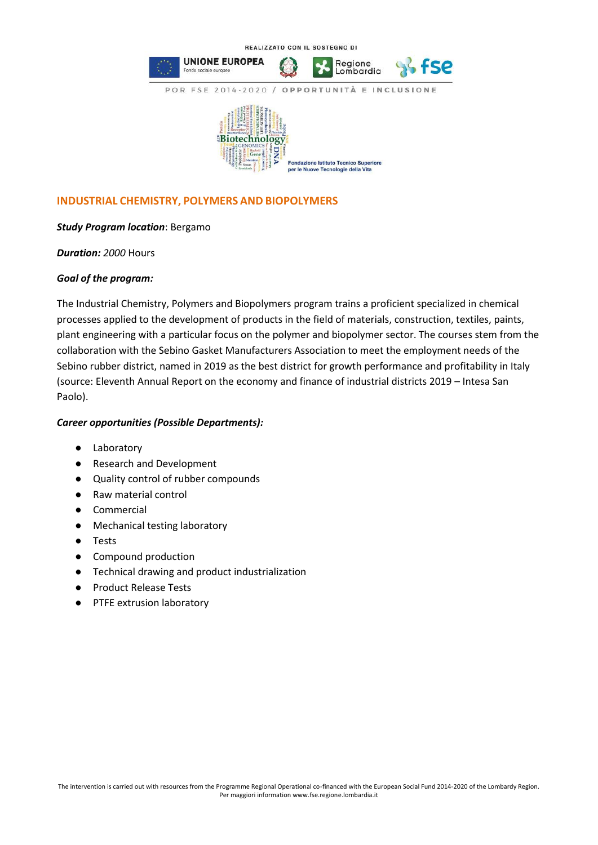

## **INDUSTRIAL CHEMISTRY, POLYMERS AND BIOPOLYMERS**

## *Study Program location*: Bergamo

*Duration: 2000* Hours

## *Goal of the program:*

The Industrial Chemistry, Polymers and Biopolymers program trains a proficient specialized in chemical processes applied to the development of products in the field of materials, construction, textiles, paints, plant engineering with a particular focus on the polymer and biopolymer sector. The courses stem from the collaboration with the Sebino Gasket Manufacturers Association to meet the employment needs of the Sebino rubber district, named in 2019 as the best district for growth performance and profitability in Italy (source: Eleventh Annual Report on the economy and finance of industrial districts 2019 – Intesa San Paolo).

## *Career opportunities (Possible Departments):*

- Laboratory
- Research and Development
- Quality control of rubber compounds
- Raw material control
- Commercial
- Mechanical testing laboratory
- Tests
- Compound production
- Technical drawing and product industrialization
- Product Release Tests
- PTFE extrusion laboratory